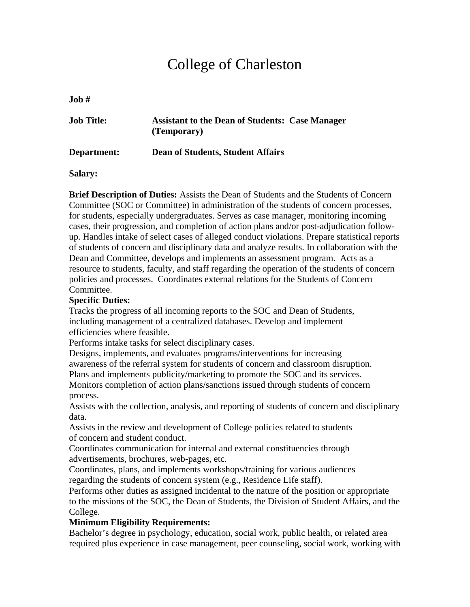# College of Charleston

**Job #** 

| <b>Job Title:</b> | <b>Assistant to the Dean of Students: Case Manager</b><br>(Temporary) |  |
|-------------------|-----------------------------------------------------------------------|--|
| Department:       | <b>Dean of Students, Student Affairs</b>                              |  |

**Salary:** 

**Brief Description of Duties:** Assists the Dean of Students and the Students of Concern Committee (SOC or Committee) in administration of the students of concern processes, for students, especially undergraduates. Serves as case manager, monitoring incoming cases, their progression, and completion of action plans and/or post-adjudication followup. Handles intake of select cases of alleged conduct violations. Prepare statistical reports of students of concern and disciplinary data and analyze results. In collaboration with the Dean and Committee, develops and implements an assessment program. Acts as a resource to students, faculty, and staff regarding the operation of the students of concern policies and processes. Coordinates external relations for the Students of Concern Committee.

#### **Specific Duties:**

Tracks the progress of all incoming reports to the SOC and Dean of Students, including management of a centralized databases. Develop and implement efficiencies where feasible.

Performs intake tasks for select disciplinary cases.

Designs, implements, and evaluates programs/interventions for increasing awareness of the referral system for students of concern and classroom disruption. Plans and implements publicity/marketing to promote the SOC and its services. Monitors completion of action plans/sanctions issued through students of concern process.

Assists with the collection, analysis, and reporting of students of concern and disciplinary data.

Assists in the review and development of College policies related to students of concern and student conduct.

Coordinates communication for internal and external constituencies through advertisements, brochures, web-pages, etc.

Coordinates, plans, and implements workshops/training for various audiences regarding the students of concern system (e.g., Residence Life staff).

Performs other duties as assigned incidental to the nature of the position or appropriate to the missions of the SOC, the Dean of Students, the Division of Student Affairs, and the College.

## **Minimum Eligibility Requirements:**

Bachelor's degree in psychology, education, social work, public health, or related area required plus experience in case management, peer counseling, social work, working with